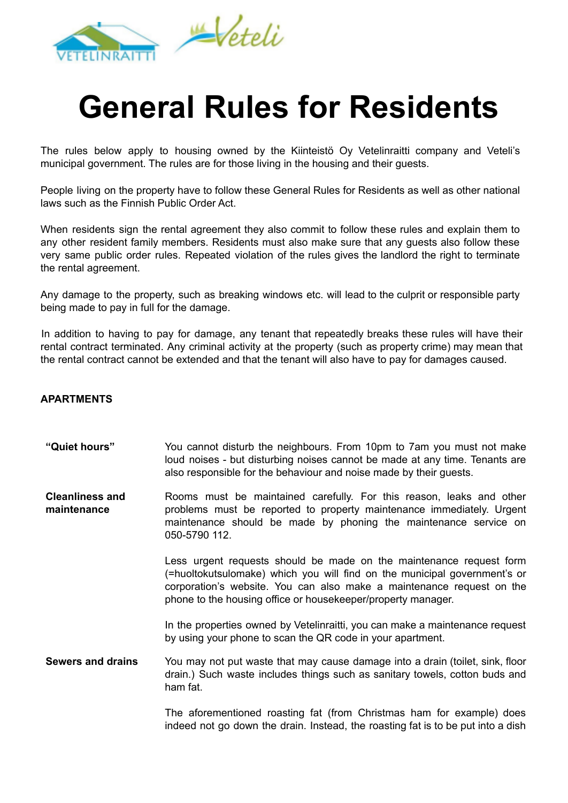

## **General Rules for Residents**

The rules below apply to housing owned by the Kiinteistö Oy Vetelinraitti company and Veteli's municipal government. The rules are for those living in the housing and their guests.

People living on the property have to follow these General Rules for Residents as well as other national laws such as the Finnish Public Order Act.

When residents sign the rental agreement they also commit to follow these rules and explain them to any other resident family members. Residents must also make sure that any guests also follow these very same public order rules. Repeated violation of the rules gives the landlord the right to terminate the rental agreement.

Any damage to the property, such as breaking windows etc. will lead to the culprit or responsible party being made to pay in full for the damage.

In addition to having to pay for damage, any tenant that repeatedly breaks these rules will have their rental contract terminated. Any criminal activity at the property (such as property crime) may mean that the rental contract cannot be extended and that the tenant will also have to pay for damages caused.

## **APARTMENTS**

- **"Quiet hours"** You cannot disturb the neighbours. From 10pm to 7am you must not make loud noises - but disturbing noises cannot be made at any time. Tenants are also responsible for the behaviour and noise made by their guests.
- **Cleanliness and maintenance** Rooms must be maintained carefully. For this reason, leaks and other problems must be reported to property maintenance immediately. Urgent maintenance should be made by phoning the maintenance service on 050-5790 112.

Less urgent requests should be made on the maintenance request form (=huoltokutsulomake) which you will find on the municipal government's or corporation's website. You can also make a maintenance request on the phone to the housing office or housekeeper/property manager.

In the properties owned by Vetelinraitti, you can make a maintenance request by using your phone to scan the QR code in your apartment.

**Sewers and drains** You may not put waste that may cause damage into a drain (toilet, sink, floor drain.) Such waste includes things such as sanitary towels, cotton buds and ham fat.

> The aforementioned roasting fat (from Christmas ham for example) does indeed not go down the drain. Instead, the roasting fat is to be put into a dish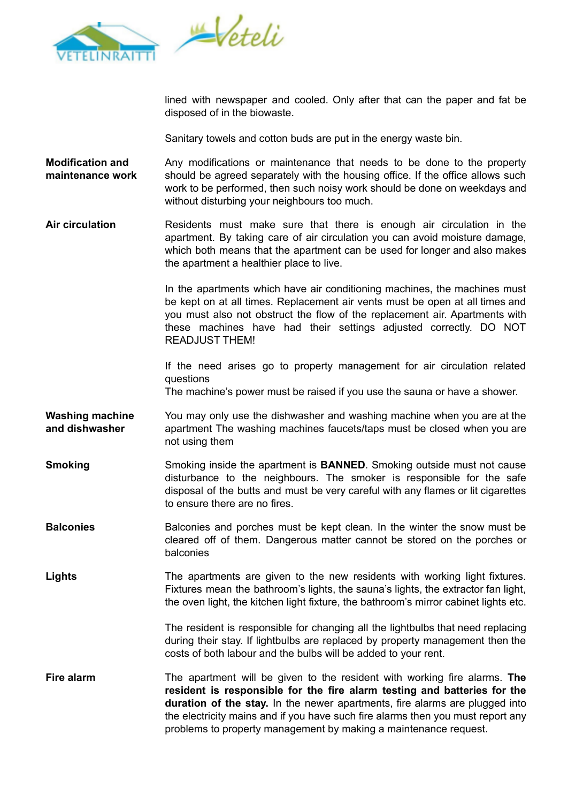



lined with newspaper and cooled. Only after that can the paper and fat be disposed of in the biowaste.

Sanitary towels and cotton buds are put in the energy waste bin.

- **Modification and maintenance work** Any modifications or maintenance that needs to be done to the property should be agreed separately with the housing office. If the office allows such work to be performed, then such noisy work should be done on weekdays and without disturbing your neighbours too much.
- **Air circulation** Residents must make sure that there is enough air circulation in the apartment. By taking care of air circulation you can avoid moisture damage, which both means that the apartment can be used for longer and also makes the apartment a healthier place to live.

In the apartments which have air conditioning machines, the machines must be kept on at all times. Replacement air vents must be open at all times and you must also not obstruct the flow of the replacement air. Apartments with these machines have had their settings adjusted correctly. DO NOT READJUST THEM!

If the need arises go to property management for air circulation related questions

The machine's power must be raised if you use the sauna or have a shower.

- **Washing machine and dishwasher** You may only use the dishwasher and washing machine when you are at the apartment The washing machines faucets/taps must be closed when you are not using them
- **Smoking** Smoking inside the apartment is **BANNED**. Smoking outside must not cause disturbance to the neighbours. The smoker is responsible for the safe disposal of the butts and must be very careful with any flames or lit cigarettes to ensure there are no fires.
- **Balconies** Balconies and porches must be kept clean. In the winter the snow must be cleared off of them. Dangerous matter cannot be stored on the porches or balconies
- Lights The apartments are given to the new residents with working light fixtures. Fixtures mean the bathroom's lights, the sauna's lights, the extractor fan light, the oven light, the kitchen light fixture, the bathroom's mirror cabinet lights etc.

The resident is responsible for changing all the lightbulbs that need replacing during their stay. If lightbulbs are replaced by property management then the costs of both labour and the bulbs will be added to your rent.

**Fire alarm** The apartment will be given to the resident with working fire alarms. **The resident is responsible for the fire alarm testing and batteries for the duration of the stay.** In the newer apartments, fire alarms are plugged into the electricity mains and if you have such fire alarms then you must report any problems to property management by making a maintenance request.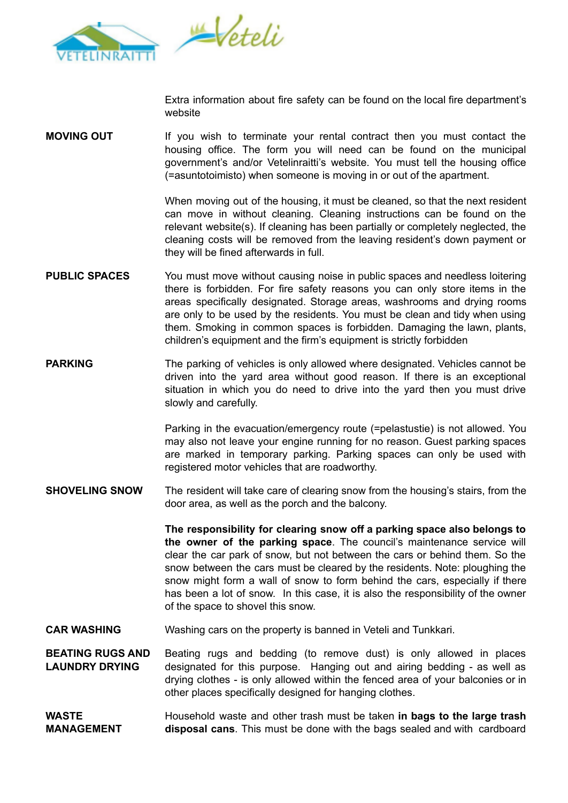

Extra information about fire safety can be found on the local fire department's website

**MOVING OUT** If you wish to terminate your rental contract then you must contact the housing office. The form you will need can be found on the municipal government's and/or Vetelinraitti's website. You must tell the housing office (=asuntotoimisto) when someone is moving in or out of the apartment.

> When moving out of the housing, it must be cleaned, so that the next resident can move in without cleaning. Cleaning instructions can be found on the relevant website(s). If cleaning has been partially or completely neglected, the cleaning costs will be removed from the leaving resident's down payment or they will be fined afterwards in full.

- **PUBLIC SPACES** You must move without causing noise in public spaces and needless loitering there is forbidden. For fire safety reasons you can only store items in the areas specifically designated. Storage areas, washrooms and drying rooms are only to be used by the residents. You must be clean and tidy when using them. Smoking in common spaces is forbidden. Damaging the lawn, plants, children's equipment and the firm's equipment is strictly forbidden
- **PARKING** The parking of vehicles is only allowed where designated. Vehicles cannot be driven into the yard area without good reason. If there is an exceptional situation in which you do need to drive into the yard then you must drive slowly and carefully.

Parking in the evacuation/emergency route (=pelastustie) is not allowed. You may also not leave your engine running for no reason. Guest parking spaces are marked in temporary parking. Parking spaces can only be used with registered motor vehicles that are roadworthy.

**SHOVELING SNOW** The resident will take care of clearing snow from the housing's stairs, from the door area, as well as the porch and the balcony.

> **The responsibility for clearing snow off a parking space also belongs to the owner of the parking space**. The council's maintenance service will clear the car park of snow, but not between the cars or behind them. So the snow between the cars must be cleared by the residents. Note: ploughing the snow might form a wall of snow to form behind the cars, especially if there has been a lot of snow. In this case, it is also the responsibility of the owner of the space to shovel this snow.

**CAR WASHING** Washing cars on the property is banned in Veteli and Tunkkari.

**BEATING RUGS AND LAUNDRY DRYING** Beating rugs and bedding (to remove dust) is only allowed in places designated for this purpose. Hanging out and airing bedding - as well as drying clothes - is only allowed within the fenced area of your balconies or in other places specifically designed for hanging clothes.

## **WASTE MANAGEMENT** Household waste and other trash must be taken **in bags to the large trash disposal cans**. This must be done with the bags sealed and with cardboard